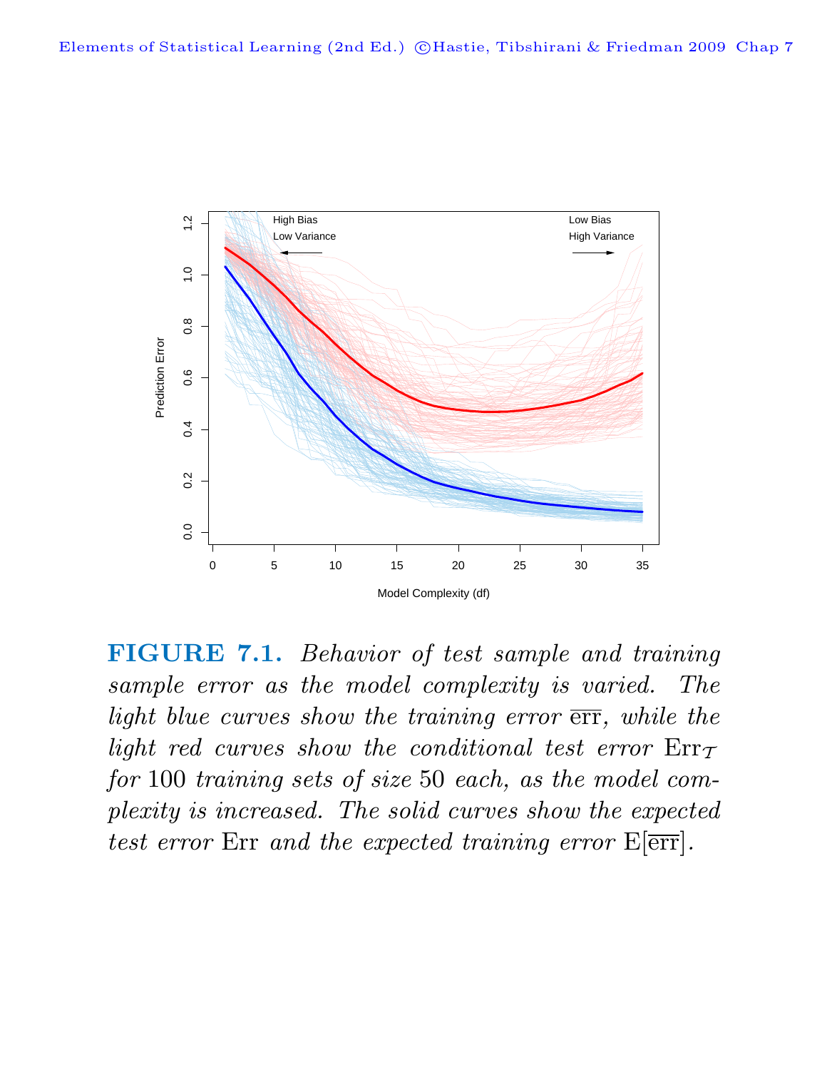

**FIGURE 7.1.** Behavior of test sample and training sample error as the model complexity is varied. The light blue curves show the training error  $\overline{err}$ , while the light red curves show the conditional test error  $Err<sub>T</sub>$ for 100 training sets of size 50 each, as the model complexity is increased. The solid curves show the expected test error Err and the expected training error  $E[\overline{err}]$ .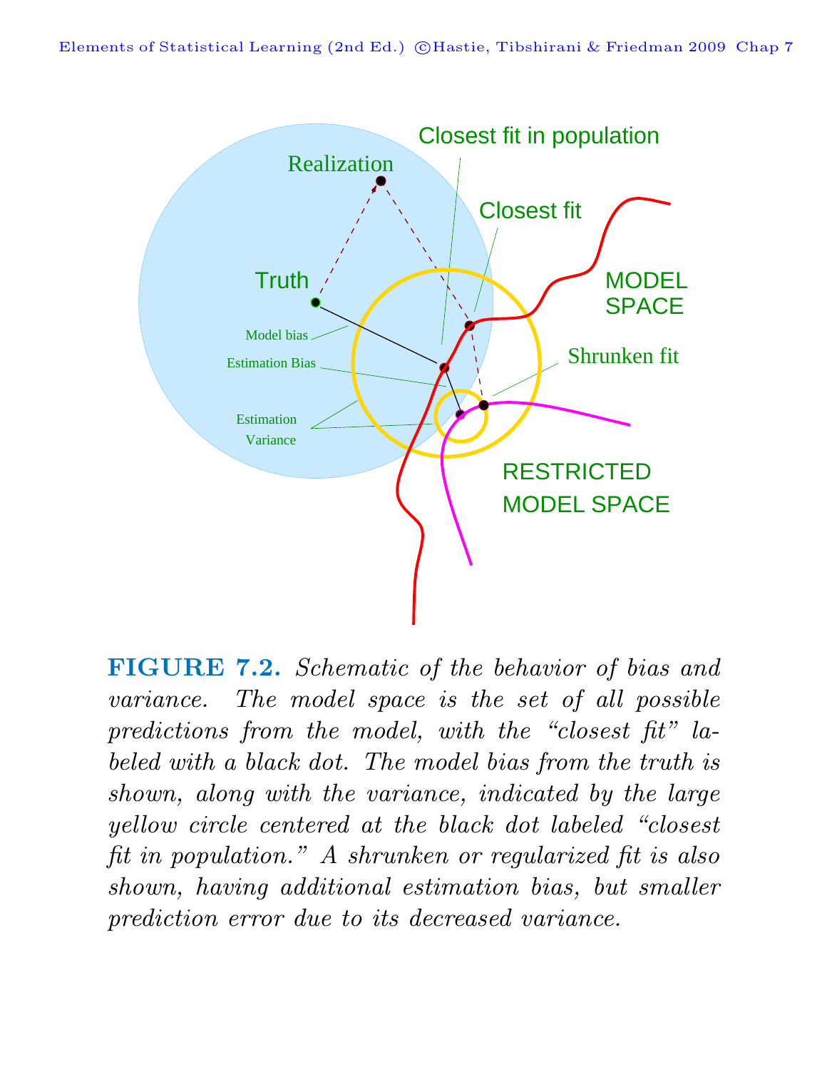

**FIGURE 7.2.** Schematic of the behavior of bias and variance. The model space is the set of all possible predictions from the model, with the "closest fit" labeled with a black dot. The model bias from the truth is shown, along with the variance, indicated by the large yellow circle centered at the black dot labeled "closest fit in population." A shrunken or regularized fit is also shown, having additional estimation bias, but smaller prediction error due to its decreased variance.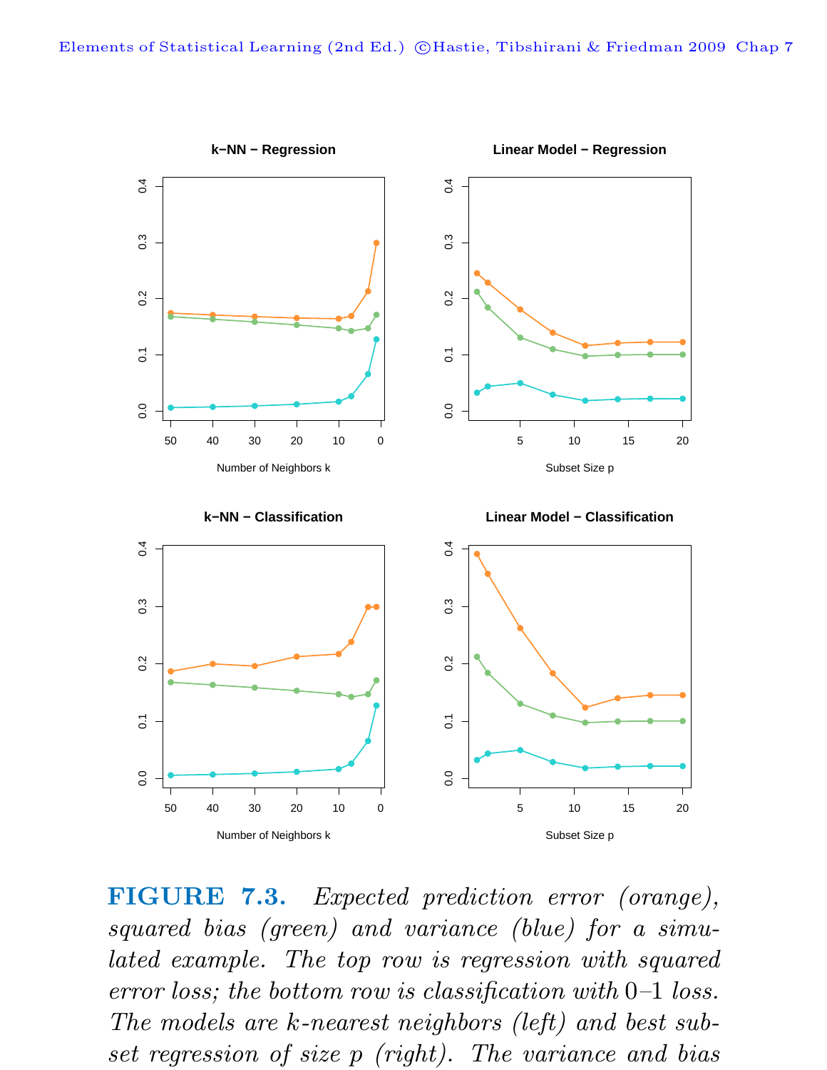

**FIGURE 7.3.** Expected prediction error (orange), squared bias (green) and variance (blue) for a simulated example. The top row is regression with squared error loss; the bottom row is classification with  $0-1$  loss. The models are k-nearest neighbors (left) and best subset regression of size p (right). The variance and bias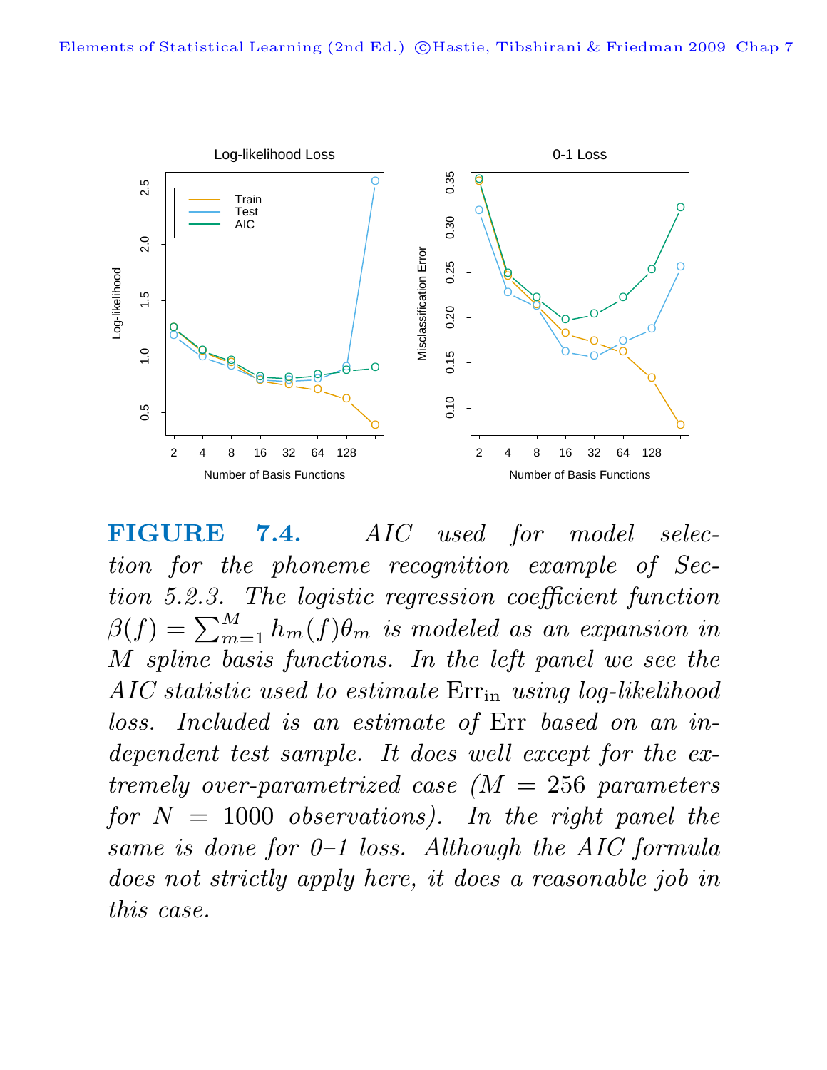

**FIGURE 7.4.** AIC used for model selection for the phoneme recognition example of Section 5.2.3. The logistic regression coefficient function  $\beta(f) = \sum_{m=1}^{M} h_m(f) \theta_m$  is modeled as an expansion in M spline basis functions. In the left panel we see the AIC statistic used to estimate  $Err_{\text{in}}$  using log-likelihood loss. Included is an estimate of Err based on an independent test sample. It does well except for the extremely over-parametrized case  $(M = 256$  parameters for  $N = 1000$  observations). In the right panel the same is done for  $0-1$  loss. Although the AIC formula does not strictly apply here, it does a reasonable job in this case.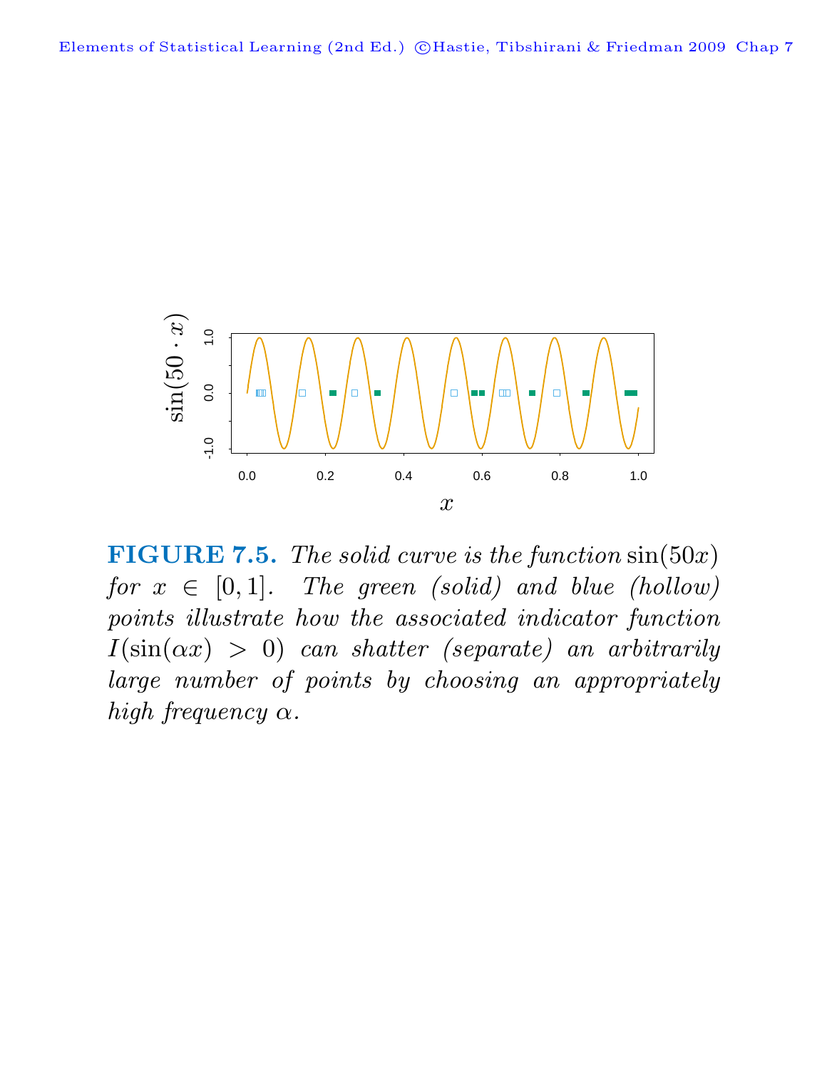

**FIGURE 7.5.** The solid curve is the function sin(50x) for  $x \in [0,1]$ . The green (solid) and blue (hollow) points illustrate how the associated indicator function  $I(\sin(\alpha x) > 0)$  can shatter (separate) an arbitrarily large number of points by choosing an appropriately high frequency  $\alpha$ .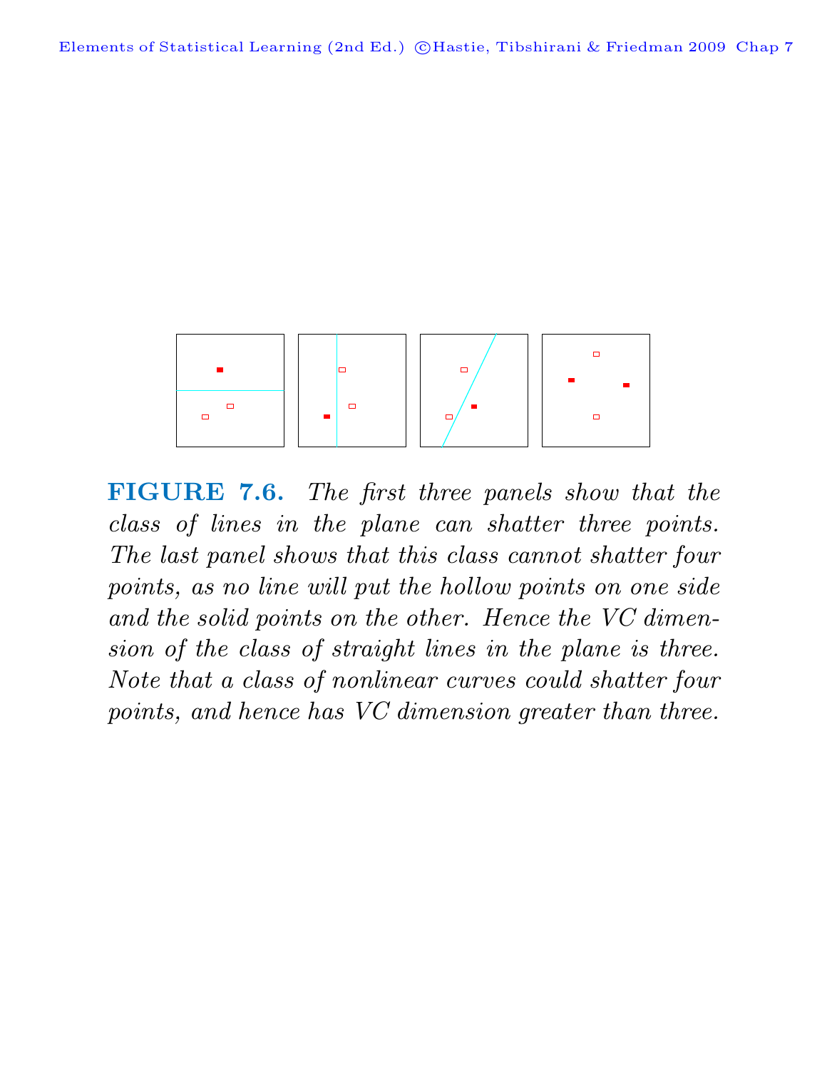

**FIGURE 7.6.** The first three panels show that the class of lines in the plane can shatter three points. The last panel shows that this class cannot shatter four points, as no line will put the hollow points on one side and the solid points on the other. Hence the VC dimension of the class of straight lines in the plane is three. Note that a class of nonlinear curves could shatter four points, and hence has VC dimension greater than three.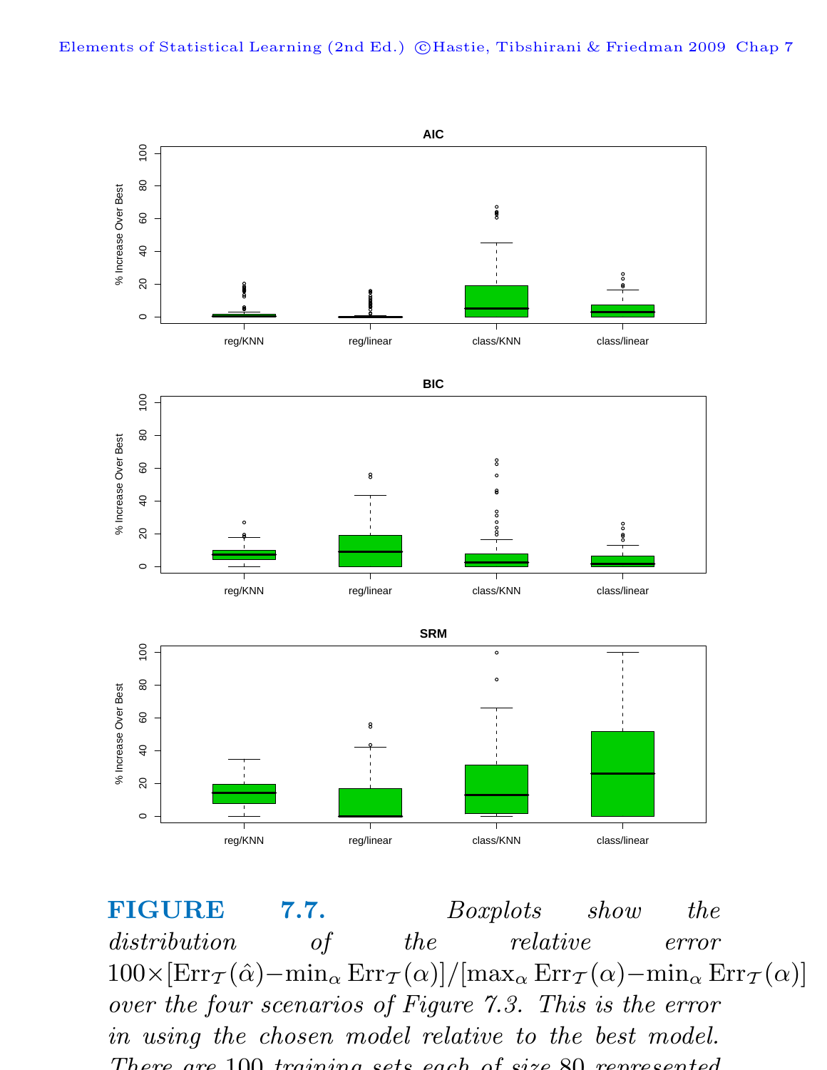

**FIGURE 7.7.** Boxplots show the distribution of the relative error  $100\times[\text{Err}_{\mathcal{T}}(\hat{\alpha})-\text{min}_{\alpha}\text{Err}_{\mathcal{T}}(\alpha)]/[\text{max}_{\alpha}\text{Err}_{\mathcal{T}}(\alpha)-\text{min}_{\alpha}\text{Err}_{\mathcal{T}}(\alpha)]$ over the four scenarios of Figure 7.3. This is the error in using the chosen model relative to the best model. There are 100 training sets each of size 80 represented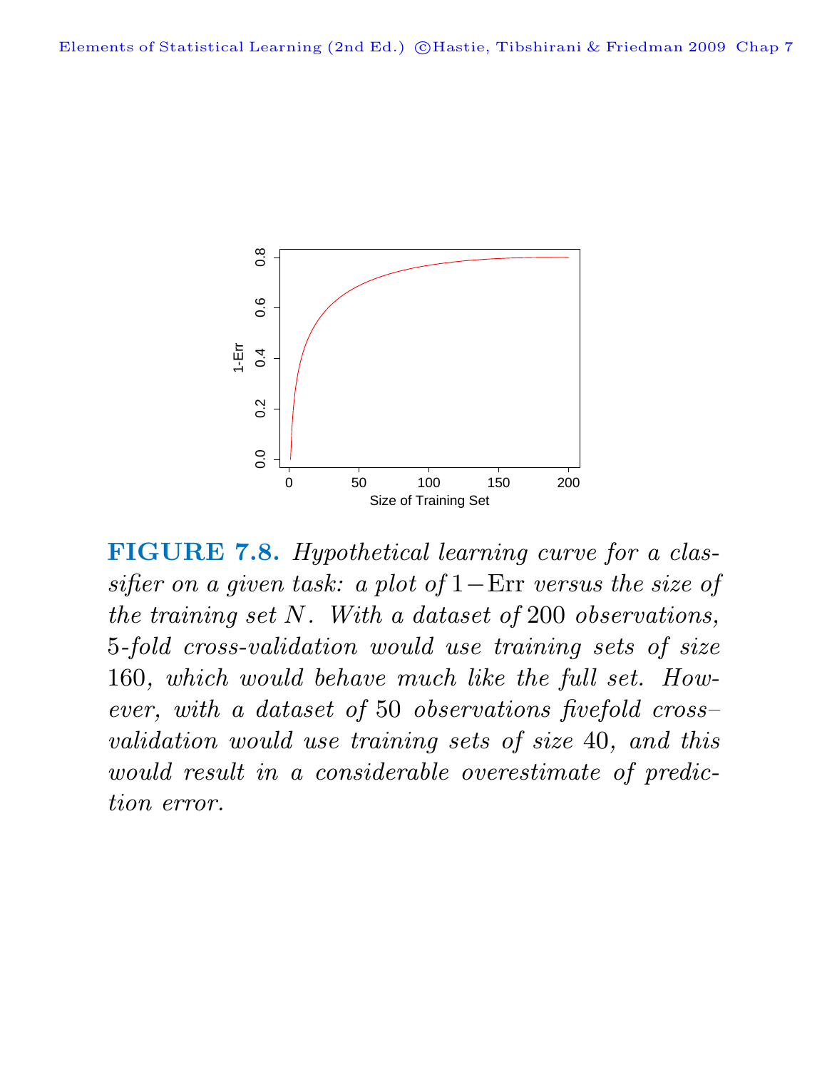

**FIGURE 7.8.** Hypothetical learning curve for a classifier on a given task: a plot of 1−Err versus the size of the training set N. With a dataset of 200 observations, 5-fold cross-validation would use training sets of size 160, which would behave much like the full set. However, with a dataset of 50 observations fivefold cross– validation would use training sets of size 40, and this would result in a considerable overestimate of prediction error.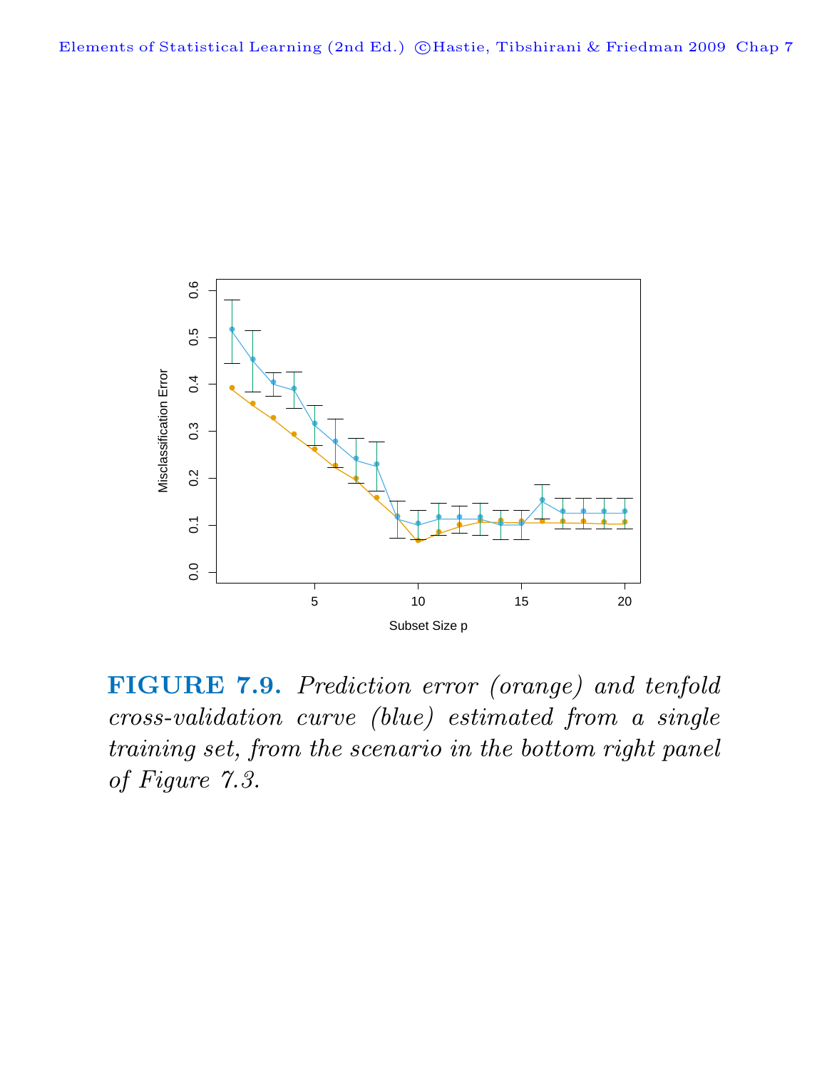

**FIGURE 7.9.** Prediction error (orange) and tenfold cross-validation curve (blue) estimated from a single training set, from the scenario in the bottom right panel of Figure 7.3.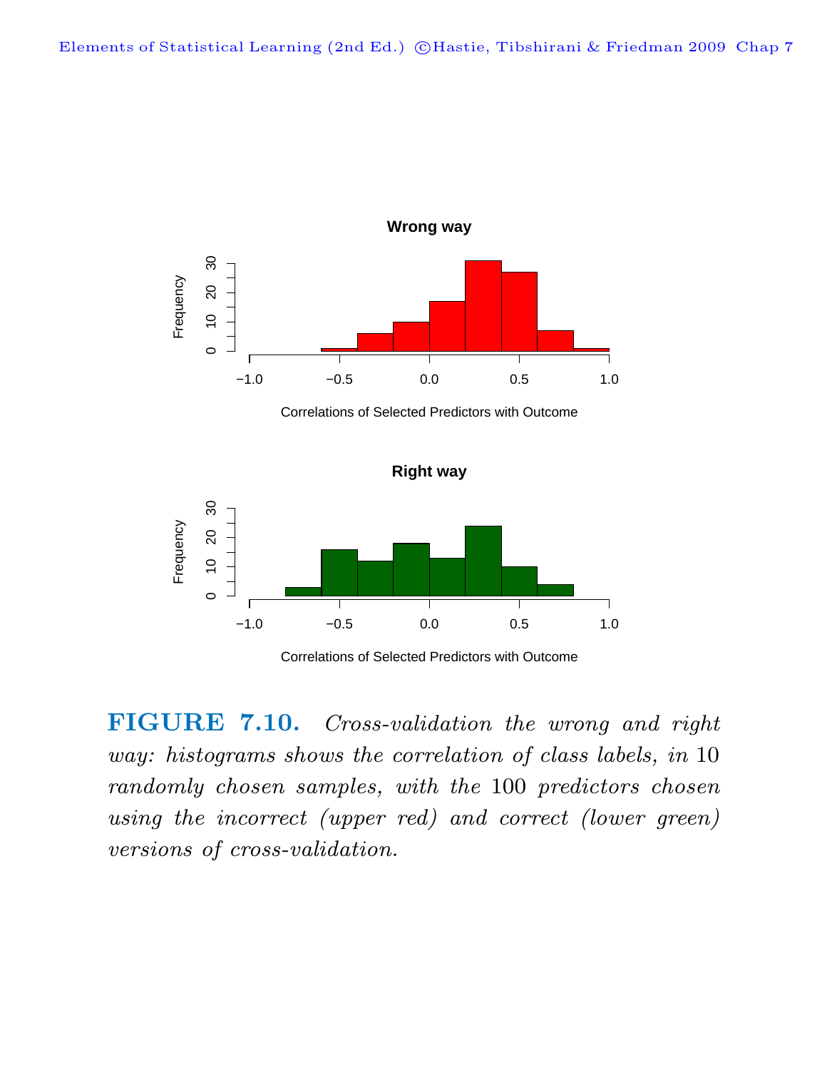

Correlations of Selected Predictors with Outcome



Correlations of Selected Predictors with Outcome

**FIGURE 7.10.** Cross-validation the wrong and right way: histograms shows the correlation of class labels, in 10 randomly chosen samples, with the 100 predictors chosen using the incorrect (upper red) and correct (lower green) versions of cross-validation.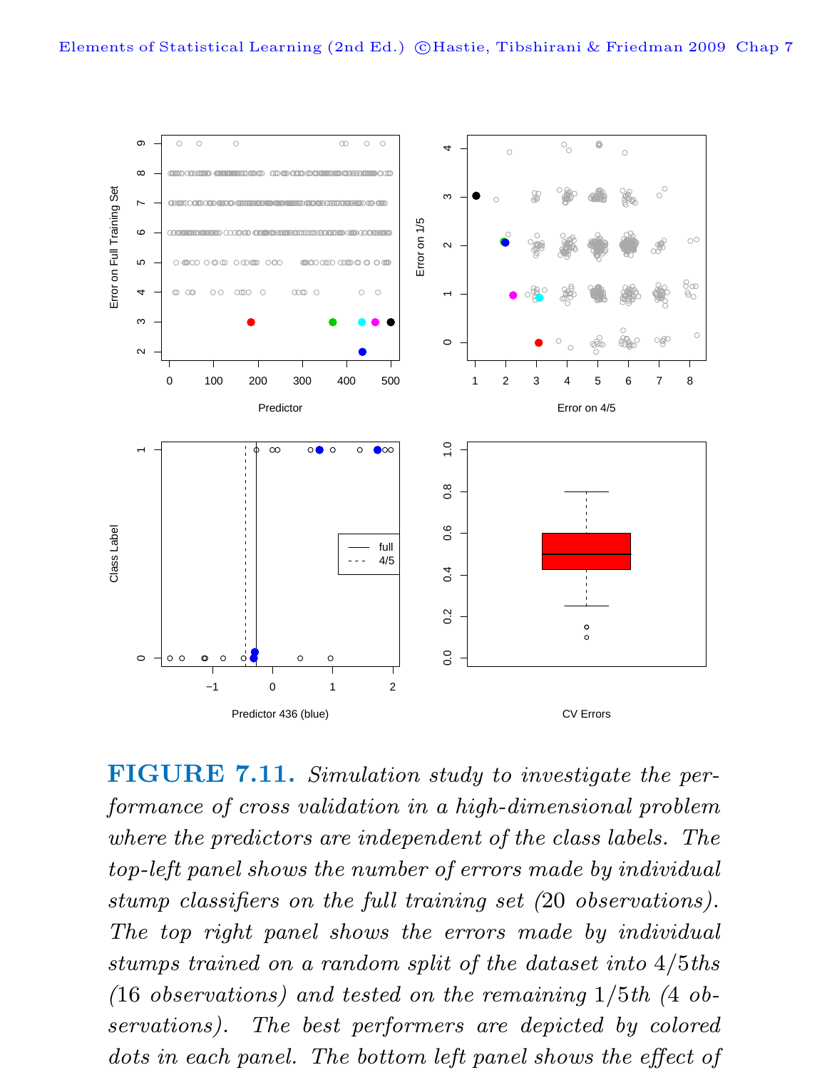

**FIGURE 7.11.** Simulation study to investigate the performance of cross validation in a high-dimensional problem where the predictors are independent of the class labels. The top-left panel shows the number of errors made by individual stump classifiers on the full training set (20 observations). The top right panel shows the errors made by individual stumps trained on a random split of the dataset into 4/5ths (16 observations) and tested on the remaining 1/5th (4 observations). The best performers are depicted by colored dots in each panel. The bottom left panel shows the effect of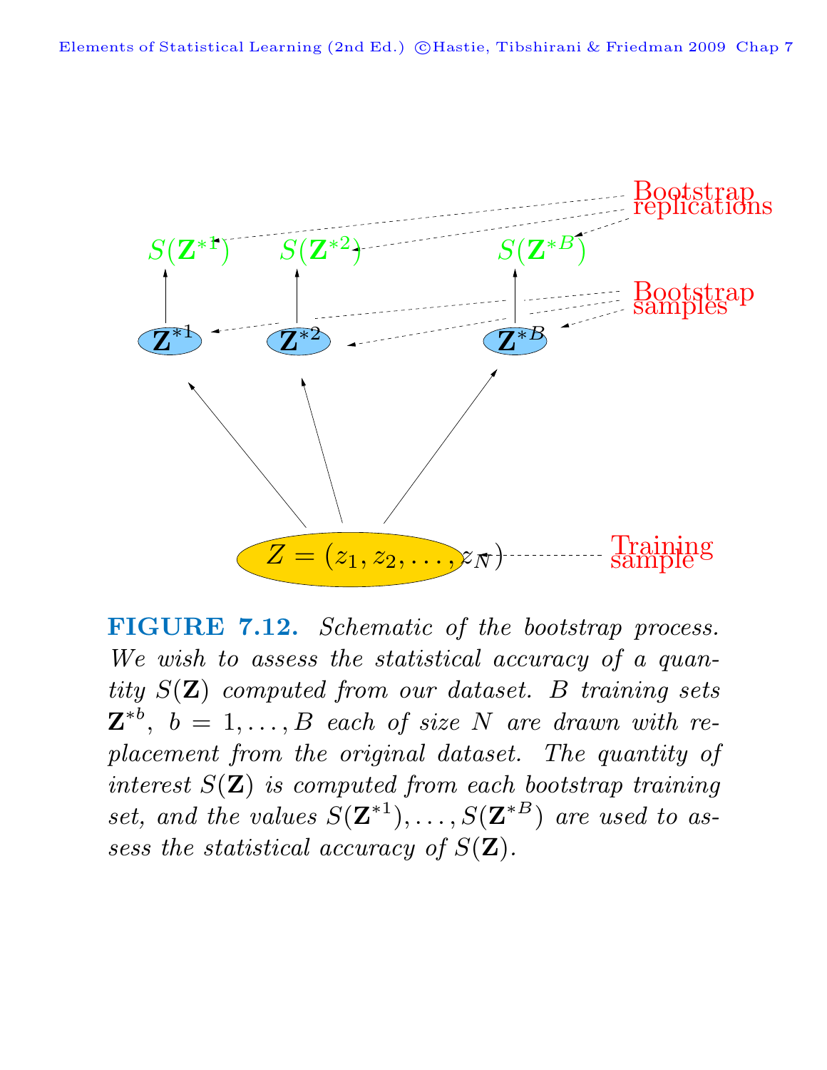

**FIGURE 7.12.** Schematic of the bootstrap process. We wish to assess the statistical accuracy of a quantity S(**Z**) computed from our dataset. B training sets  $\mathbf{Z}^{*b}, b = 1, \ldots, B$  each of size N are drawn with replacement from the original dataset. The quantity of interest S(**Z**) is computed from each bootstrap training set, and the values  $S(\mathbf{Z}^{*1}), \ldots, S(\mathbf{Z}^{*B})$  are used to assess the statistical accuracy of S(**Z**).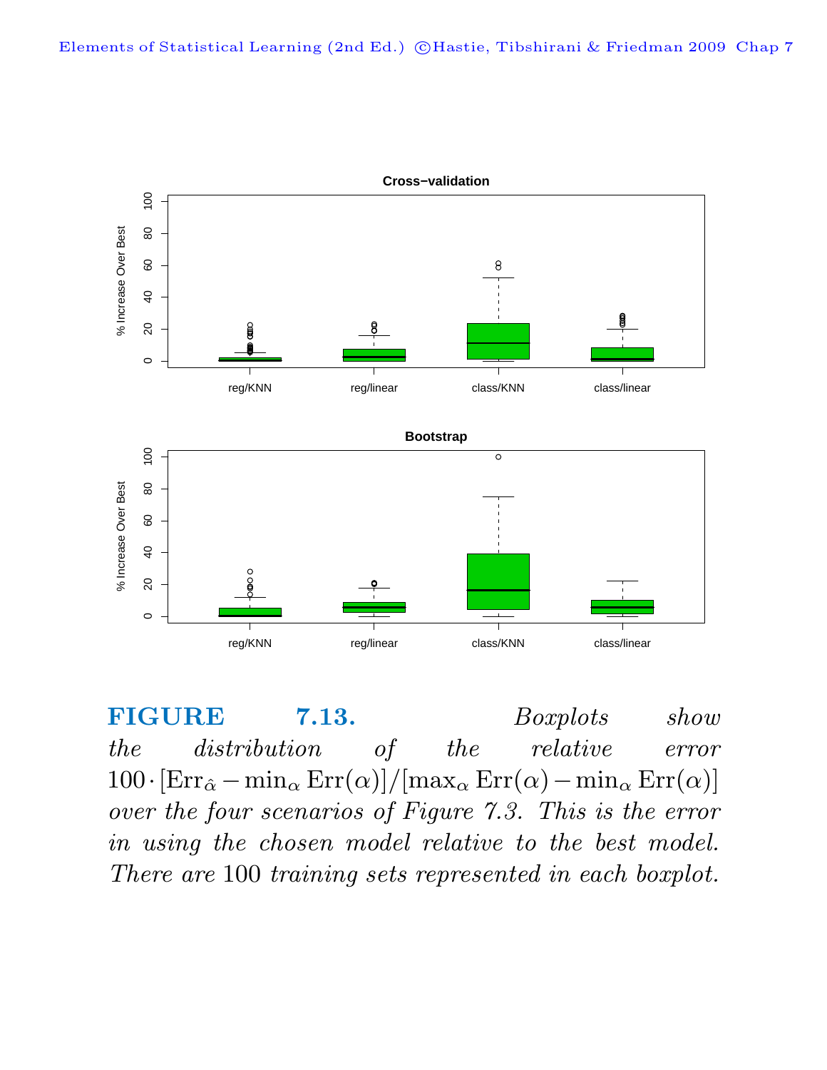

FIGURE 7.13. Boxplots show the distribution of the relative error  $100\cdot[\text{Err}_{\hat{\alpha}}-\min_{\alpha}\text{Err}(\alpha)]/[\max_{\alpha}\text{Err}(\alpha)-\min_{\alpha}\text{Err}(\alpha)]$ over the four scenarios of Figure 7.3. This is the error in using the chosen model relative to the best model. There are 100 training sets represented in each boxplot.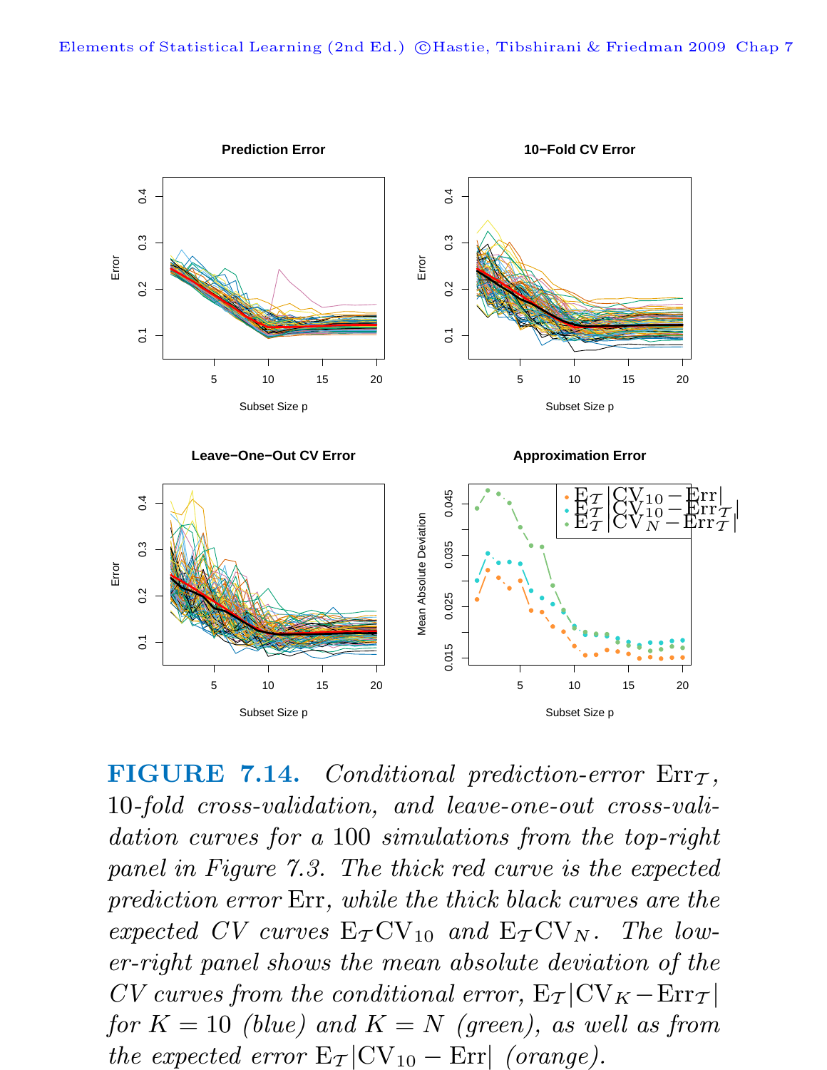

**FIGURE 7.14.** Conditional prediction-error  $Err_{\mathcal{T}}$ , 10-fold cross-validation, and leave-one-out cross-validation curves for a 100 simulations from the top-right panel in Figure 7.3. The thick red curve is the expected prediction error Err, while the thick black curves are the expected CV curves  $E<sub>T</sub>CV<sub>10</sub>$  and  $E<sub>T</sub>CV<sub>N</sub>$ . The lower-right panel shows the mean absolute deviation of the  $CV curves from the conditional error, E<sub>T</sub>|CV<sub>K</sub> - Err<sub>T</sub>|$ for  $K = 10$  (blue) and  $K = N$  (green), as well as from the expected error  $E_{\mathcal{T}}|CV_{10} - Err|$  (orange).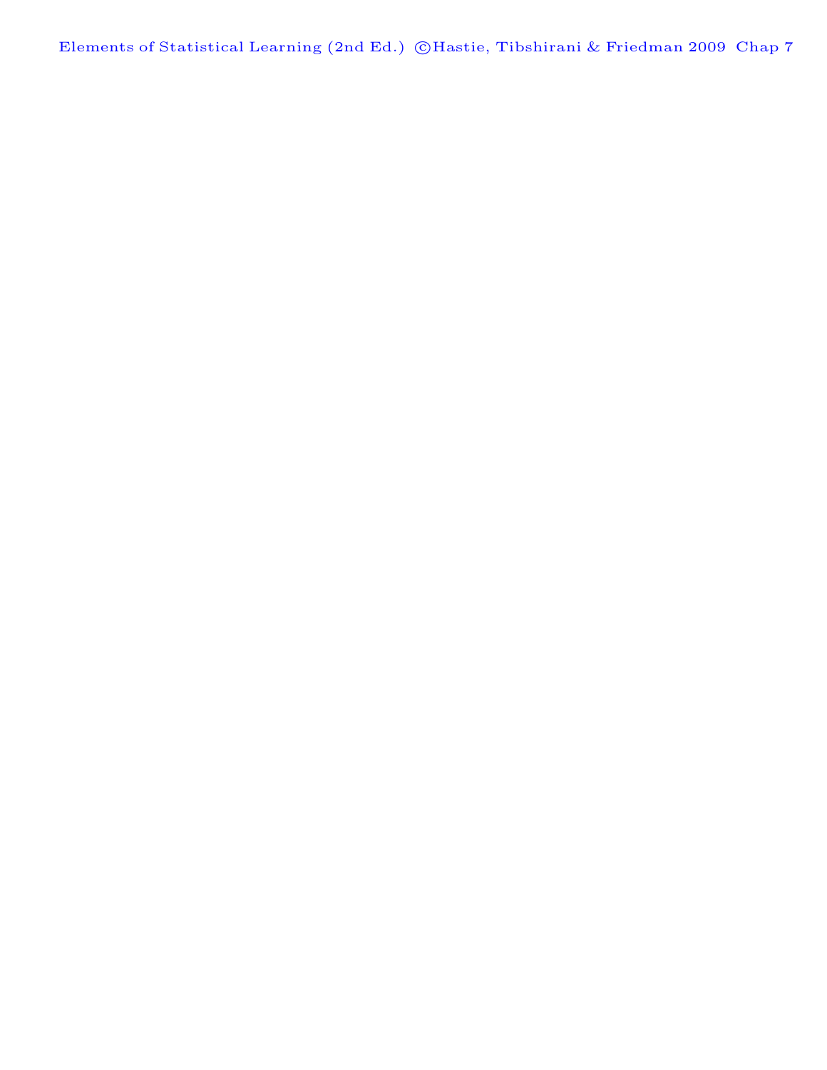Elements of Statistical Learning (2nd Ed.) ©Hastie, Tibshirani & Friedman 2009 Chap 7